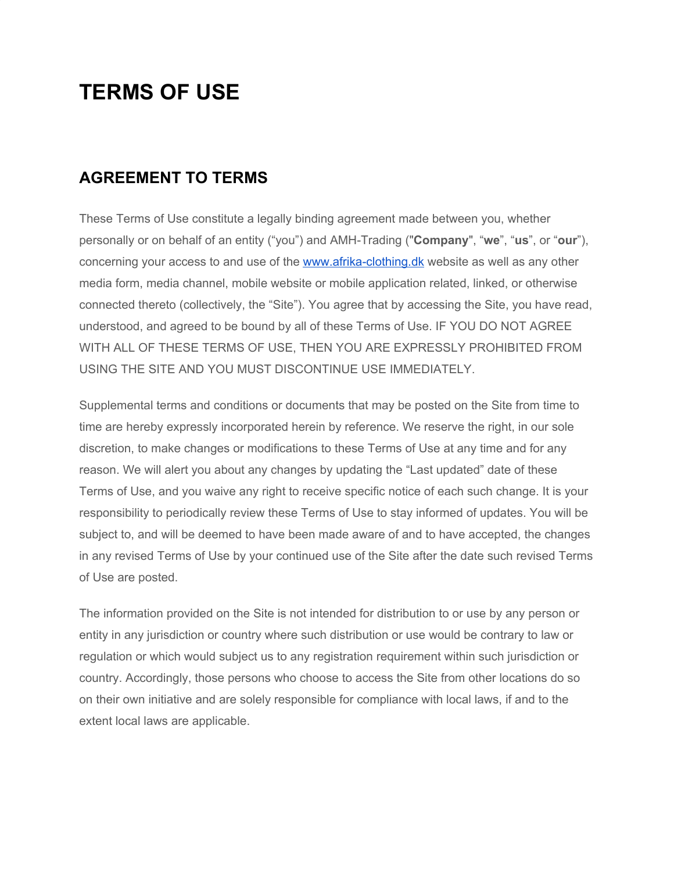# **TERMS OF USE**

# **AGREEMENT TO TERMS**

These Terms of Use constitute a legally binding agreement made between you, whether personally or on behalf of an entity ("you") and AMH-Trading ("**Company**", "**we**", "**us**", or "**our**"), concerning your access to and use of the [www.afrika-clothing.dk](http://www.afrika-clothing.dk/) website as well as any other media form, media channel, mobile website or mobile application related, linked, or otherwise connected thereto (collectively, the "Site"). You agree that by accessing the Site, you have read, understood, and agreed to be bound by all of these Terms of Use. IF YOU DO NOT AGREE WITH ALL OF THESE TERMS OF USE, THEN YOU ARE EXPRESSLY PROHIBITED FROM USING THE SITE AND YOU MUST DISCONTINUE USE IMMEDIATELY.

Supplemental terms and conditions or documents that may be posted on the Site from time to time are hereby expressly incorporated herein by reference. We reserve the right, in our sole discretion, to make changes or modifications to these Terms of Use at any time and for any reason. We will alert you about any changes by updating the "Last updated" date of these Terms of Use, and you waive any right to receive specific notice of each such change. It is your responsibility to periodically review these Terms of Use to stay informed of updates. You will be subject to, and will be deemed to have been made aware of and to have accepted, the changes in any revised Terms of Use by your continued use of the Site after the date such revised Terms of Use are posted.

The information provided on the Site is not intended for distribution to or use by any person or entity in any jurisdiction or country where such distribution or use would be contrary to law or regulation or which would subject us to any registration requirement within such jurisdiction or country. Accordingly, those persons who choose to access the Site from other locations do so on their own initiative and are solely responsible for compliance with local laws, if and to the extent local laws are applicable.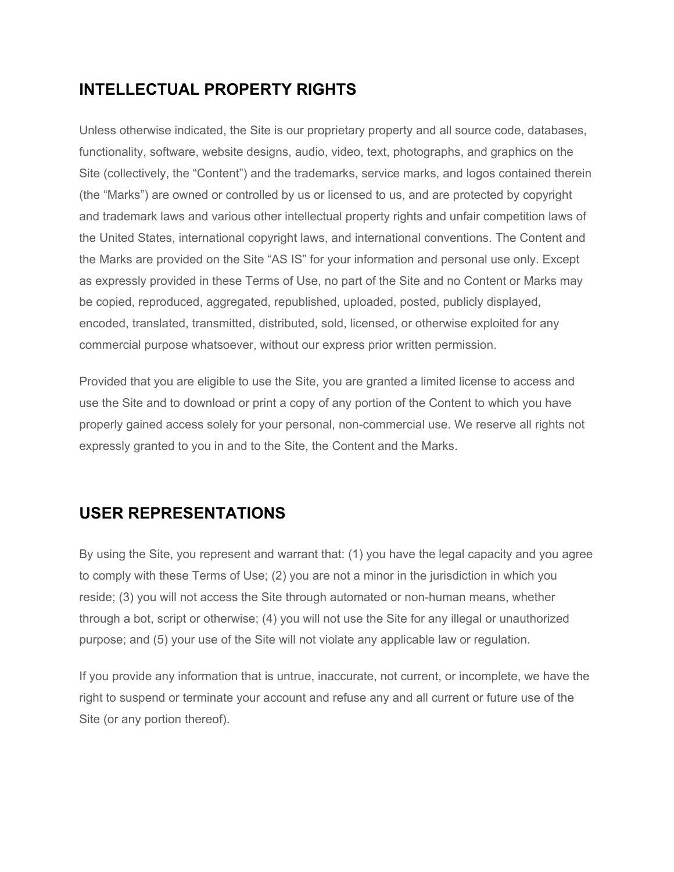# **INTELLECTUAL PROPERTY RIGHTS**

Unless otherwise indicated, the Site is our proprietary property and all source code, databases, functionality, software, website designs, audio, video, text, photographs, and graphics on the Site (collectively, the "Content") and the trademarks, service marks, and logos contained therein (the "Marks") are owned or controlled by us or licensed to us, and are protected by copyright and trademark laws and various other intellectual property rights and unfair competition laws of the United States, international copyright laws, and international conventions. The Content and the Marks are provided on the Site "AS IS" for your information and personal use only. Except as expressly provided in these Terms of Use, no part of the Site and no Content or Marks may be copied, reproduced, aggregated, republished, uploaded, posted, publicly displayed, encoded, translated, transmitted, distributed, sold, licensed, or otherwise exploited for any commercial purpose whatsoever, without our express prior written permission.

Provided that you are eligible to use the Site, you are granted a limited license to access and use the Site and to download or print a copy of any portion of the Content to which you have properly gained access solely for your personal, non-commercial use. We reserve all rights not expressly granted to you in and to the Site, the Content and the Marks.

# **USER REPRESENTATIONS**

By using the Site, you represent and warrant that: (1) you have the legal capacity and you agree to comply with these Terms of Use; (2) you are not a minor in the jurisdiction in which you reside; (3) you will not access the Site through automated or non-human means, whether through a bot, script or otherwise; (4) you will not use the Site for any illegal or unauthorized purpose; and (5) your use of the Site will not violate any applicable law or regulation.

If you provide any information that is untrue, inaccurate, not current, or incomplete, we have the right to suspend or terminate your account and refuse any and all current or future use of the Site (or any portion thereof).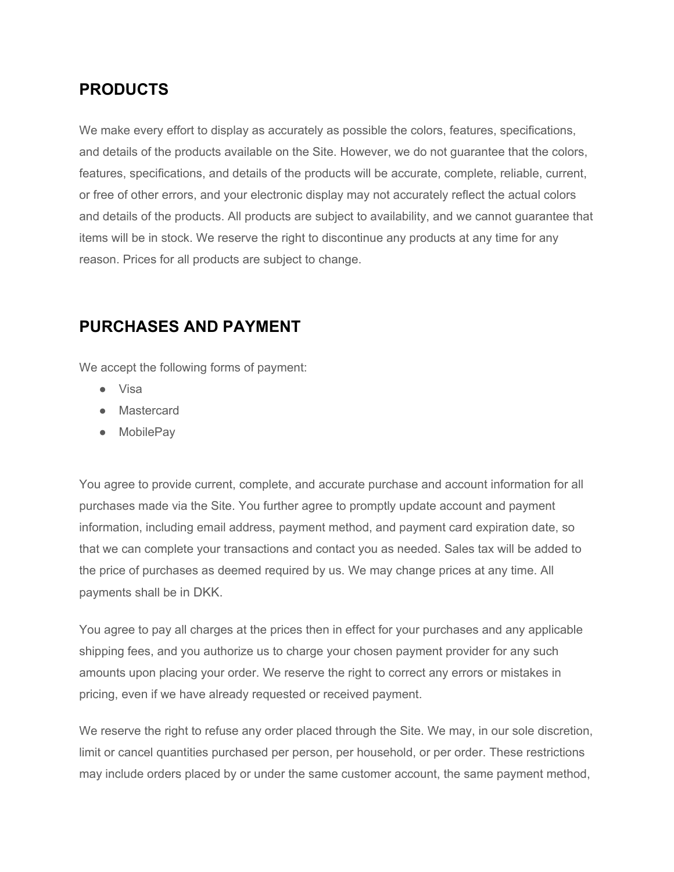## **PRODUCTS**

We make every effort to display as accurately as possible the colors, features, specifications, and details of the products available on the Site. However, we do not guarantee that the colors, features, specifications, and details of the products will be accurate, complete, reliable, current, or free of other errors, and your electronic display may not accurately reflect the actual colors and details of the products. All products are subject to availability, and we cannot guarantee that items will be in stock. We reserve the right to discontinue any products at any time for any reason. Prices for all products are subject to change.

### **PURCHASES AND PAYMENT**

We accept the following forms of payment:

- Visa
- Mastercard
- MobilePay

You agree to provide current, complete, and accurate purchase and account information for all purchases made via the Site. You further agree to promptly update account and payment information, including email address, payment method, and payment card expiration date, so that we can complete your transactions and contact you as needed. Sales tax will be added to the price of purchases as deemed required by us. We may change prices at any time. All payments shall be in DKK.

You agree to pay all charges at the prices then in effect for your purchases and any applicable shipping fees, and you authorize us to charge your chosen payment provider for any such amounts upon placing your order. We reserve the right to correct any errors or mistakes in pricing, even if we have already requested or received payment.

We reserve the right to refuse any order placed through the Site. We may, in our sole discretion, limit or cancel quantities purchased per person, per household, or per order. These restrictions may include orders placed by or under the same customer account, the same payment method,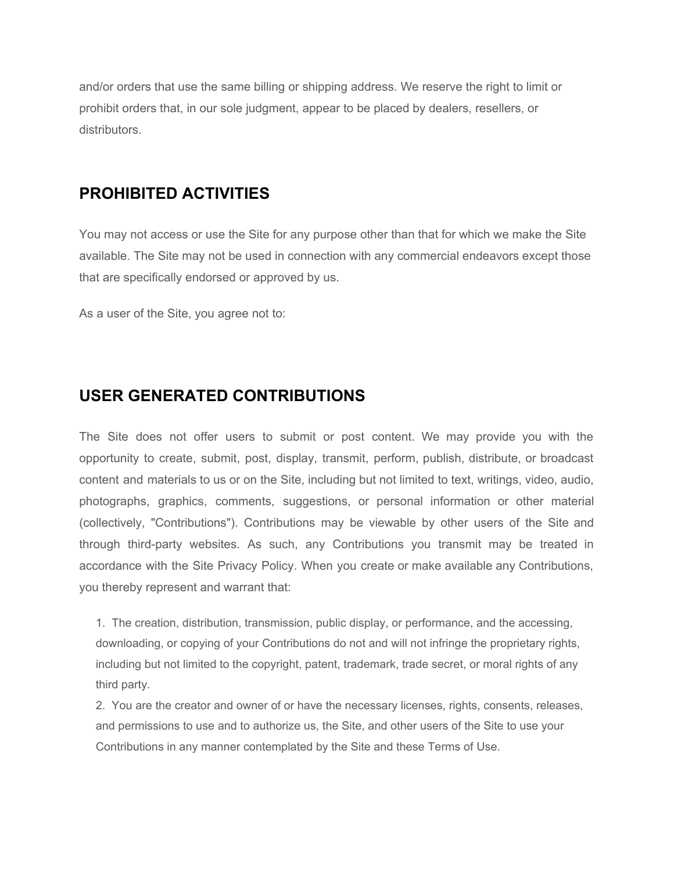and/or orders that use the same billing or shipping address. We reserve the right to limit or prohibit orders that, in our sole judgment, appear to be placed by dealers, resellers, or distributors.

#### **PROHIBITED ACTIVITIES**

You may not access or use the Site for any purpose other than that for which we make the Site available. The Site may not be used in connection with any commercial endeavors except those that are specifically endorsed or approved by us.

As a user of the Site, you agree not to:

#### **USER GENERATED CONTRIBUTIONS**

The Site does not offer users to submit or post content. We may provide you with the opportunity to create, submit, post, display, transmit, perform, publish, distribute, or broadcast content and materials to us or on the Site, including but not limited to text, writings, video, audio, photographs, graphics, comments, suggestions, or personal information or other material (collectively, "Contributions"). Contributions may be viewable by other users of the Site and through third-party websites. As such, any Contributions you transmit may be treated in accordance with the Site Privacy Policy. When you create or make available any Contributions, you thereby represent and warrant that:

1. The creation, distribution, transmission, public display, or performance, and the accessing, downloading, or copying of your Contributions do not and will not infringe the proprietary rights, including but not limited to the copyright, patent, trademark, trade secret, or moral rights of any third party.

2. You are the creator and owner of or have the necessary licenses, rights, consents, releases, and permissions to use and to authorize us, the Site, and other users of the Site to use your Contributions in any manner contemplated by the Site and these Terms of Use.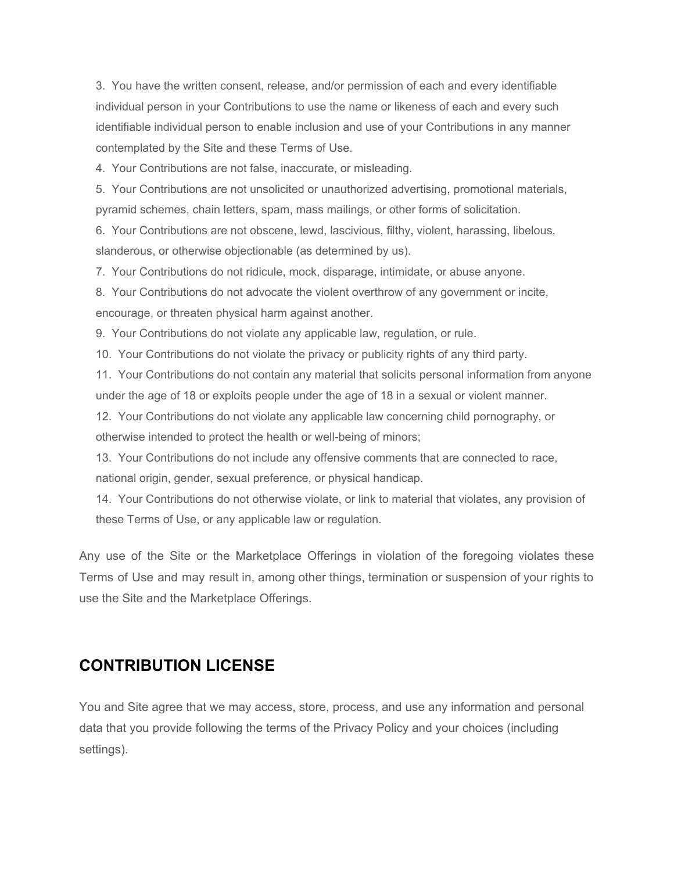3. You have the written consent, release, and/or permission of each and every identifiable individual person in your Contributions to use the name or likeness of each and every such identifiable individual person to enable inclusion and use of your Contributions in any manner contemplated by the Site and these Terms of Use.

4. Your Contributions are not false, inaccurate, or misleading.

5. Your Contributions are not unsolicited or unauthorized advertising, promotional materials, pyramid schemes, chain letters, spam, mass mailings, or other forms of solicitation.

6. Your Contributions are not obscene, lewd, lascivious, filthy, violent, harassing, libelous, slanderous, or otherwise objectionable (as determined by us).

7. Your Contributions do not ridicule, mock, disparage, intimidate, or abuse anyone.

8. Your Contributions do not advocate the violent overthrow of any government or incite, encourage, or threaten physical harm against another.

9. Your Contributions do not violate any applicable law, regulation, or rule.

10. Your Contributions do not violate the privacy or publicity rights of any third party.

11. Your Contributions do not contain any material that solicits personal information from anyone under the age of 18 or exploits people under the age of 18 in a sexual or violent manner.

12. Your Contributions do not violate any applicable law concerning child pornography, or otherwise intended to protect the health or well-being of minors;

13. Your Contributions do not include any offensive comments that are connected to race, national origin, gender, sexual preference, or physical handicap.

14. Your Contributions do not otherwise violate, or link to material that violates, any provision of these Terms of Use, or any applicable law or regulation.

Any use of the Site or the Marketplace Offerings in violation of the foregoing violates these Terms of Use and may result in, among other things, termination or suspension of your rights to use the Site and the Marketplace Offerings.

#### **CONTRIBUTION LICENSE**

You and Site agree that we may access, store, process, and use any information and personal data that you provide following the terms of the Privacy Policy and your choices (including settings).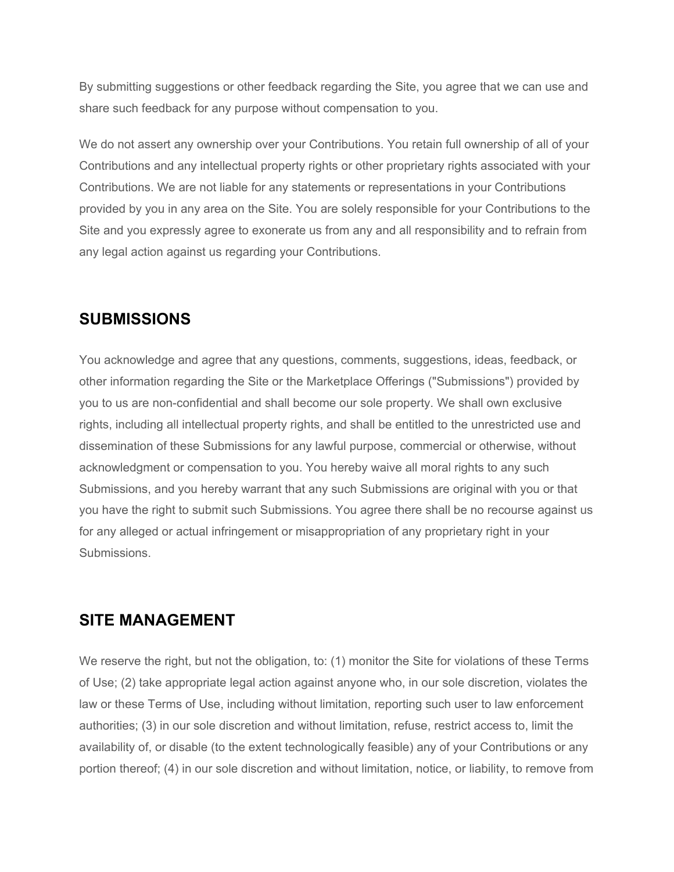By submitting suggestions or other feedback regarding the Site, you agree that we can use and share such feedback for any purpose without compensation to you.

We do not assert any ownership over your Contributions. You retain full ownership of all of your Contributions and any intellectual property rights or other proprietary rights associated with your Contributions. We are not liable for any statements or representations in your Contributions provided by you in any area on the Site. You are solely responsible for your Contributions to the Site and you expressly agree to exonerate us from any and all responsibility and to refrain from any legal action against us regarding your Contributions.

#### **SUBMISSIONS**

You acknowledge and agree that any questions, comments, suggestions, ideas, feedback, or other information regarding the Site or the Marketplace Offerings ("Submissions") provided by you to us are non-confidential and shall become our sole property. We shall own exclusive rights, including all intellectual property rights, and shall be entitled to the unrestricted use and dissemination of these Submissions for any lawful purpose, commercial or otherwise, without acknowledgment or compensation to you. You hereby waive all moral rights to any such Submissions, and you hereby warrant that any such Submissions are original with you or that you have the right to submit such Submissions. You agree there shall be no recourse against us for any alleged or actual infringement or misappropriation of any proprietary right in your Submissions.

#### **SITE MANAGEMENT**

We reserve the right, but not the obligation, to: (1) monitor the Site for violations of these Terms of Use; (2) take appropriate legal action against anyone who, in our sole discretion, violates the law or these Terms of Use, including without limitation, reporting such user to law enforcement authorities; (3) in our sole discretion and without limitation, refuse, restrict access to, limit the availability of, or disable (to the extent technologically feasible) any of your Contributions or any portion thereof; (4) in our sole discretion and without limitation, notice, or liability, to remove from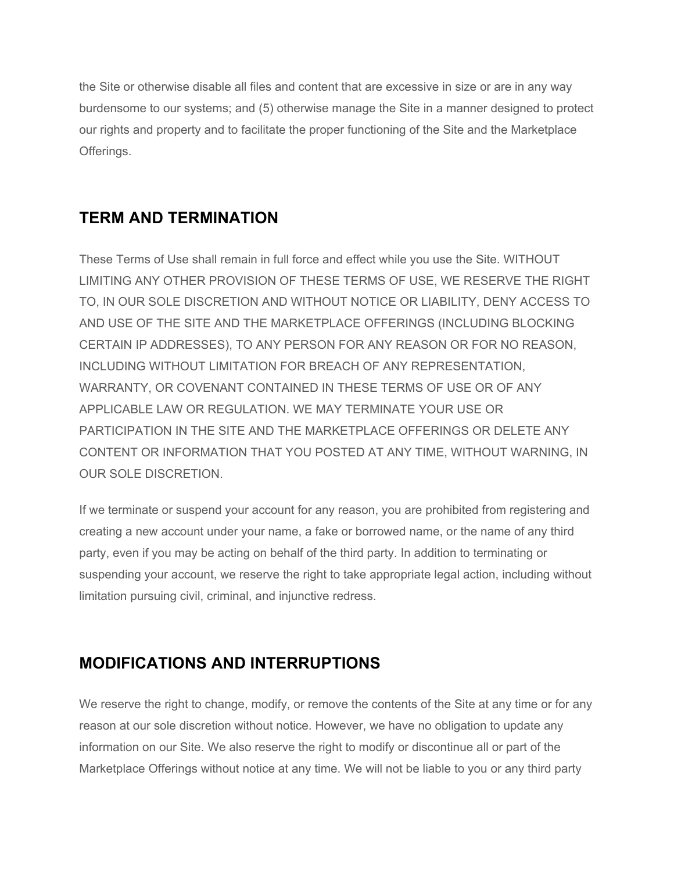the Site or otherwise disable all files and content that are excessive in size or are in any way burdensome to our systems; and (5) otherwise manage the Site in a manner designed to protect our rights and property and to facilitate the proper functioning of the Site and the Marketplace Offerings.

# **TERM AND TERMINATION**

These Terms of Use shall remain in full force and effect while you use the Site. WITHOUT LIMITING ANY OTHER PROVISION OF THESE TERMS OF USE, WE RESERVE THE RIGHT TO, IN OUR SOLE DISCRETION AND WITHOUT NOTICE OR LIABILITY, DENY ACCESS TO AND USE OF THE SITE AND THE MARKETPLACE OFFERINGS (INCLUDING BLOCKING CERTAIN IP ADDRESSES), TO ANY PERSON FOR ANY REASON OR FOR NO REASON, INCLUDING WITHOUT LIMITATION FOR BREACH OF ANY REPRESENTATION, WARRANTY, OR COVENANT CONTAINED IN THESE TERMS OF USE OR OF ANY APPLICABLE LAW OR REGULATION. WE MAY TERMINATE YOUR USE OR PARTICIPATION IN THE SITE AND THE MARKETPLACE OFFERINGS OR DELETE ANY CONTENT OR INFORMATION THAT YOU POSTED AT ANY TIME, WITHOUT WARNING, IN OUR SOLE DISCRETION.

If we terminate or suspend your account for any reason, you are prohibited from registering and creating a new account under your name, a fake or borrowed name, or the name of any third party, even if you may be acting on behalf of the third party. In addition to terminating or suspending your account, we reserve the right to take appropriate legal action, including without limitation pursuing civil, criminal, and injunctive redress.

# **MODIFICATIONS AND INTERRUPTIONS**

We reserve the right to change, modify, or remove the contents of the Site at any time or for any reason at our sole discretion without notice. However, we have no obligation to update any information on our Site. We also reserve the right to modify or discontinue all or part of the Marketplace Offerings without notice at any time. We will not be liable to you or any third party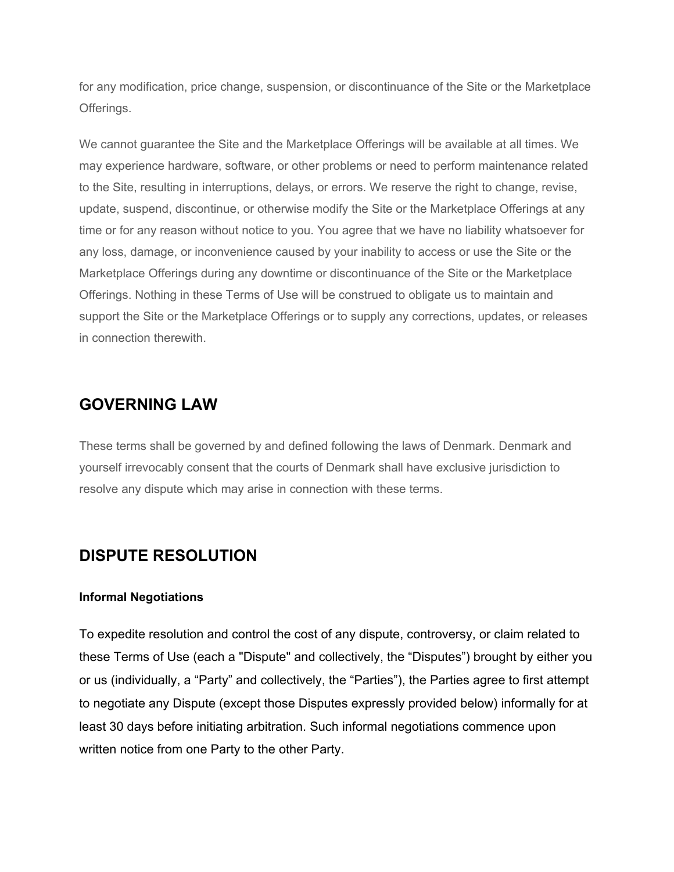for any modification, price change, suspension, or discontinuance of the Site or the Marketplace Offerings.

We cannot guarantee the Site and the Marketplace Offerings will be available at all times. We may experience hardware, software, or other problems or need to perform maintenance related to the Site, resulting in interruptions, delays, or errors. We reserve the right to change, revise, update, suspend, discontinue, or otherwise modify the Site or the Marketplace Offerings at any time or for any reason without notice to you. You agree that we have no liability whatsoever for any loss, damage, or inconvenience caused by your inability to access or use the Site or the Marketplace Offerings during any downtime or discontinuance of the Site or the Marketplace Offerings. Nothing in these Terms of Use will be construed to obligate us to maintain and support the Site or the Marketplace Offerings or to supply any corrections, updates, or releases in connection therewith.

#### **GOVERNING LAW**

These terms shall be governed by and defined following the laws of Denmark. Denmark and yourself irrevocably consent that the courts of Denmark shall have exclusive jurisdiction to resolve any dispute which may arise in connection with these terms.

## **DISPUTE RESOLUTION**

#### **Informal Negotiations**

To expedite resolution and control the cost of any dispute, controversy, or claim related to these Terms of Use (each a "Dispute" and collectively, the "Disputes") brought by either you or us (individually, a "Party" and collectively, the "Parties"), the Parties agree to first attempt to negotiate any Dispute (except those Disputes expressly provided below) informally for at least 30 days before initiating arbitration. Such informal negotiations commence upon written notice from one Party to the other Party.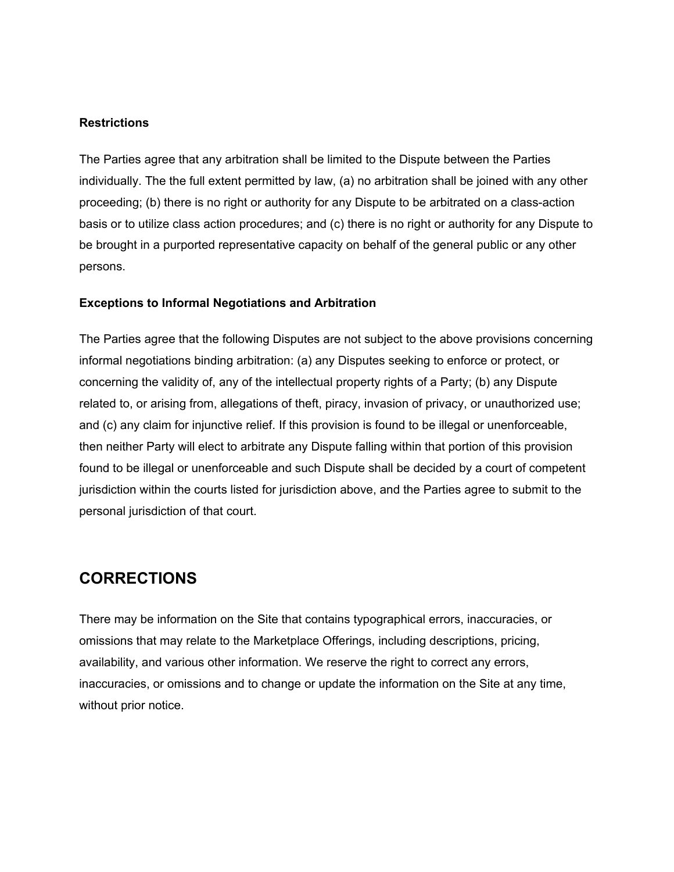#### **Restrictions**

The Parties agree that any arbitration shall be limited to the Dispute between the Parties individually. The the full extent permitted by law, (a) no arbitration shall be joined with any other proceeding; (b) there is no right or authority for any Dispute to be arbitrated on a class-action basis or to utilize class action procedures; and (c) there is no right or authority for any Dispute to be brought in a purported representative capacity on behalf of the general public or any other persons.

#### **Exceptions to Informal Negotiations and Arbitration**

The Parties agree that the following Disputes are not subject to the above provisions concerning informal negotiations binding arbitration: (a) any Disputes seeking to enforce or protect, or concerning the validity of, any of the intellectual property rights of a Party; (b) any Dispute related to, or arising from, allegations of theft, piracy, invasion of privacy, or unauthorized use; and (c) any claim for injunctive relief. If this provision is found to be illegal or unenforceable, then neither Party will elect to arbitrate any Dispute falling within that portion of this provision found to be illegal or unenforceable and such Dispute shall be decided by a court of competent jurisdiction within the courts listed for jurisdiction above, and the Parties agree to submit to the personal jurisdiction of that court.

#### **CORRECTIONS**

There may be information on the Site that contains typographical errors, inaccuracies, or omissions that may relate to the Marketplace Offerings, including descriptions, pricing, availability, and various other information. We reserve the right to correct any errors, inaccuracies, or omissions and to change or update the information on the Site at any time, without prior notice.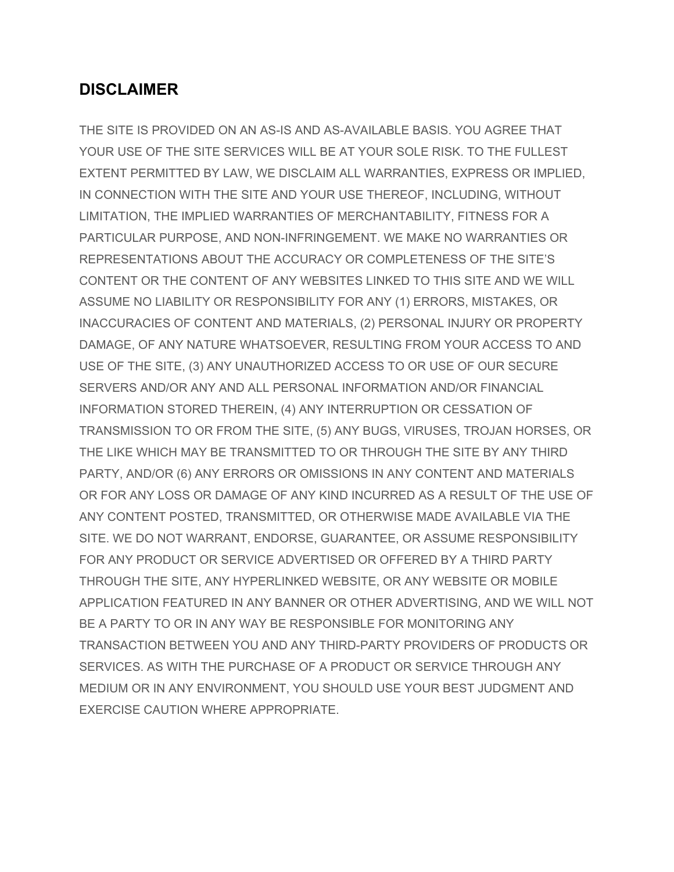### **DISCLAIMER**

THE SITE IS PROVIDED ON AN AS-IS AND AS-AVAILABLE BASIS. YOU AGREE THAT YOUR USE OF THE SITE SERVICES WILL BE AT YOUR SOLE RISK. TO THE FULLEST EXTENT PERMITTED BY LAW, WE DISCLAIM ALL WARRANTIES, EXPRESS OR IMPLIED, IN CONNECTION WITH THE SITE AND YOUR USE THEREOF, INCLUDING, WITHOUT LIMITATION, THE IMPLIED WARRANTIES OF MERCHANTABILITY, FITNESS FOR A PARTICULAR PURPOSE, AND NON-INFRINGEMENT. WE MAKE NO WARRANTIES OR REPRESENTATIONS ABOUT THE ACCURACY OR COMPLETENESS OF THE SITE'S CONTENT OR THE CONTENT OF ANY WEBSITES LINKED TO THIS SITE AND WE WILL ASSUME NO LIABILITY OR RESPONSIBILITY FOR ANY (1) ERRORS, MISTAKES, OR INACCURACIES OF CONTENT AND MATERIALS, (2) PERSONAL INJURY OR PROPERTY DAMAGE, OF ANY NATURE WHATSOEVER, RESULTING FROM YOUR ACCESS TO AND USE OF THE SITE, (3) ANY UNAUTHORIZED ACCESS TO OR USE OF OUR SECURE SERVERS AND/OR ANY AND ALL PERSONAL INFORMATION AND/OR FINANCIAL INFORMATION STORED THEREIN, (4) ANY INTERRUPTION OR CESSATION OF TRANSMISSION TO OR FROM THE SITE, (5) ANY BUGS, VIRUSES, TROJAN HORSES, OR THE LIKE WHICH MAY BE TRANSMITTED TO OR THROUGH THE SITE BY ANY THIRD PARTY, AND/OR (6) ANY ERRORS OR OMISSIONS IN ANY CONTENT AND MATERIALS OR FOR ANY LOSS OR DAMAGE OF ANY KIND INCURRED AS A RESULT OF THE USE OF ANY CONTENT POSTED, TRANSMITTED, OR OTHERWISE MADE AVAILABLE VIA THE SITE. WE DO NOT WARRANT, ENDORSE, GUARANTEE, OR ASSUME RESPONSIBILITY FOR ANY PRODUCT OR SERVICE ADVERTISED OR OFFERED BY A THIRD PARTY THROUGH THE SITE, ANY HYPERLINKED WEBSITE, OR ANY WEBSITE OR MOBILE APPLICATION FEATURED IN ANY BANNER OR OTHER ADVERTISING, AND WE WILL NOT BE A PARTY TO OR IN ANY WAY BE RESPONSIBLE FOR MONITORING ANY TRANSACTION BETWEEN YOU AND ANY THIRD-PARTY PROVIDERS OF PRODUCTS OR SERVICES. AS WITH THE PURCHASE OF A PRODUCT OR SERVICE THROUGH ANY MEDIUM OR IN ANY ENVIRONMENT, YOU SHOULD USE YOUR BEST JUDGMENT AND EXERCISE CAUTION WHERE APPROPRIATE.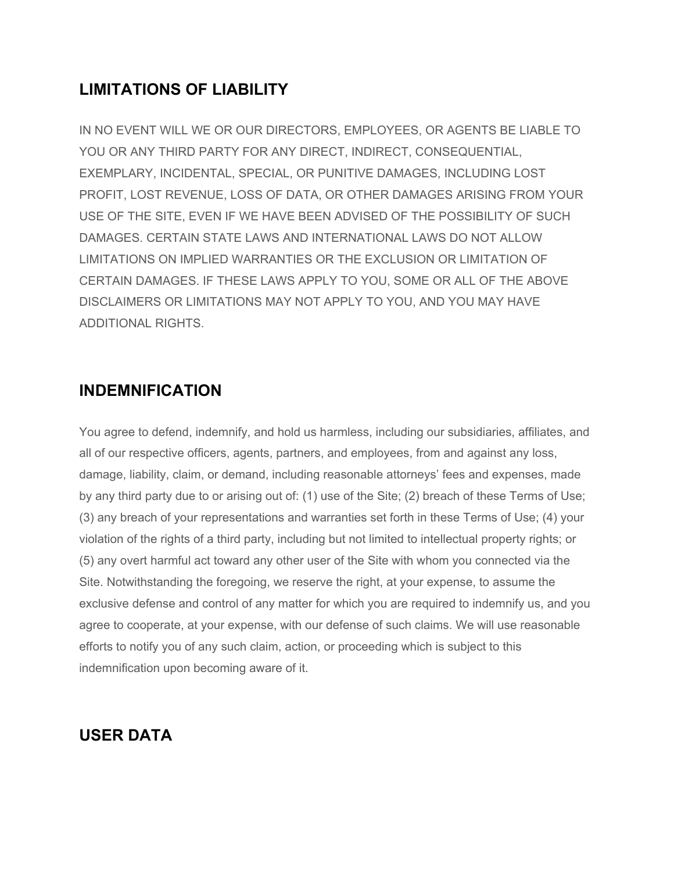# **LIMITATIONS OF LIABILITY**

IN NO EVENT WILL WE OR OUR DIRECTORS, EMPLOYEES, OR AGENTS BE LIABLE TO YOU OR ANY THIRD PARTY FOR ANY DIRECT, INDIRECT, CONSEQUENTIAL, EXEMPLARY, INCIDENTAL, SPECIAL, OR PUNITIVE DAMAGES, INCLUDING LOST PROFIT, LOST REVENUE, LOSS OF DATA, OR OTHER DAMAGES ARISING FROM YOUR USE OF THE SITE, EVEN IF WE HAVE BEEN ADVISED OF THE POSSIBILITY OF SUCH DAMAGES. CERTAIN STATE LAWS AND INTERNATIONAL LAWS DO NOT ALLOW LIMITATIONS ON IMPLIED WARRANTIES OR THE EXCLUSION OR LIMITATION OF CERTAIN DAMAGES. IF THESE LAWS APPLY TO YOU, SOME OR ALL OF THE ABOVE DISCLAIMERS OR LIMITATIONS MAY NOT APPLY TO YOU, AND YOU MAY HAVE ADDITIONAL RIGHTS.

#### **INDEMNIFICATION**

You agree to defend, indemnify, and hold us harmless, including our subsidiaries, affiliates, and all of our respective officers, agents, partners, and employees, from and against any loss, damage, liability, claim, or demand, including reasonable attorneys' fees and expenses, made by any third party due to or arising out of: (1) use of the Site; (2) breach of these Terms of Use; (3) any breach of your representations and warranties set forth in these Terms of Use; (4) your violation of the rights of a third party, including but not limited to intellectual property rights; or (5) any overt harmful act toward any other user of the Site with whom you connected via the Site. Notwithstanding the foregoing, we reserve the right, at your expense, to assume the exclusive defense and control of any matter for which you are required to indemnify us, and you agree to cooperate, at your expense, with our defense of such claims. We will use reasonable efforts to notify you of any such claim, action, or proceeding which is subject to this indemnification upon becoming aware of it.

#### **USER DATA**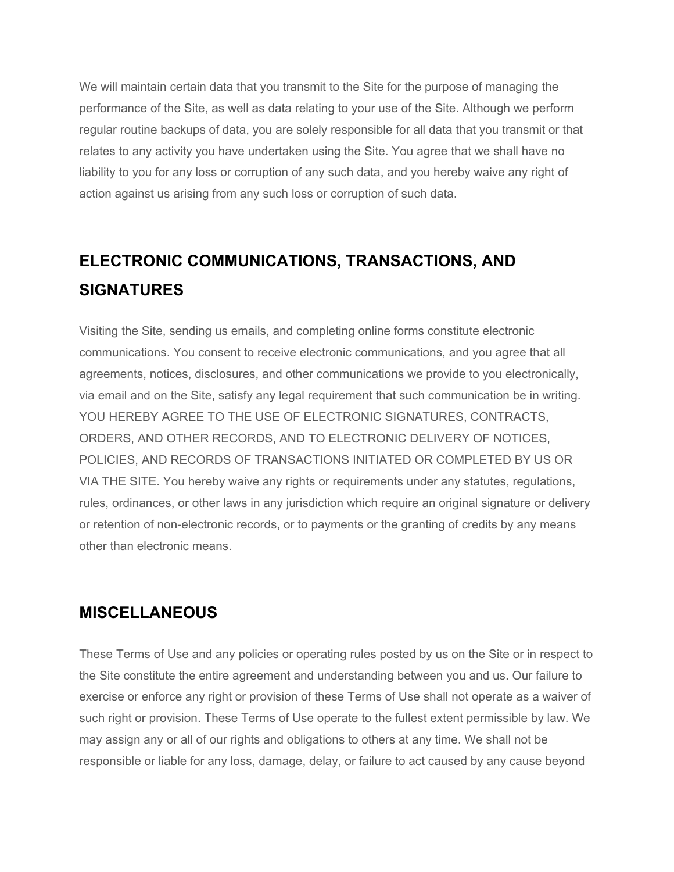We will maintain certain data that you transmit to the Site for the purpose of managing the performance of the Site, as well as data relating to your use of the Site. Although we perform regular routine backups of data, you are solely responsible for all data that you transmit or that relates to any activity you have undertaken using the Site. You agree that we shall have no liability to you for any loss or corruption of any such data, and you hereby waive any right of action against us arising from any such loss or corruption of such data.

# **ELECTRONIC COMMUNICATIONS, TRANSACTIONS, AND SIGNATURES**

Visiting the Site, sending us emails, and completing online forms constitute electronic communications. You consent to receive electronic communications, and you agree that all agreements, notices, disclosures, and other communications we provide to you electronically, via email and on the Site, satisfy any legal requirement that such communication be in writing. YOU HEREBY AGREE TO THE USE OF ELECTRONIC SIGNATURES, CONTRACTS, ORDERS, AND OTHER RECORDS, AND TO ELECTRONIC DELIVERY OF NOTICES, POLICIES, AND RECORDS OF TRANSACTIONS INITIATED OR COMPLETED BY US OR VIA THE SITE. You hereby waive any rights or requirements under any statutes, regulations, rules, ordinances, or other laws in any jurisdiction which require an original signature or delivery or retention of non-electronic records, or to payments or the granting of credits by any means other than electronic means.

## **MISCELLANEOUS**

These Terms of Use and any policies or operating rules posted by us on the Site or in respect to the Site constitute the entire agreement and understanding between you and us. Our failure to exercise or enforce any right or provision of these Terms of Use shall not operate as a waiver of such right or provision. These Terms of Use operate to the fullest extent permissible by law. We may assign any or all of our rights and obligations to others at any time. We shall not be responsible or liable for any loss, damage, delay, or failure to act caused by any cause beyond